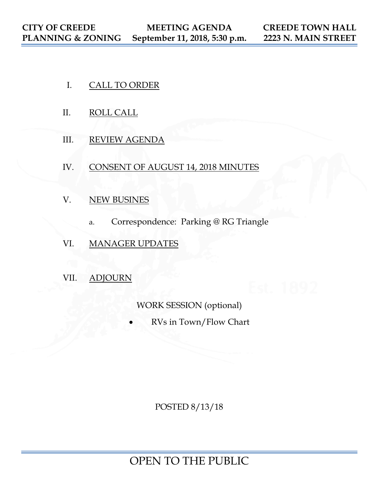- I. CALL TO ORDER
- II. ROLL CALL
- III. REVIEW AGENDA
- IV. CONSENT OF AUGUST 14, 2018 MINUTES
- V. NEW BUSINES
	- a. Correspondence: Parking @ RG Triangle
- VI. MANAGER UPDATES
- VII. ADJOURN

WORK SESSION (optional)

• RVs in Town/Flow Chart

POSTED 8/13/18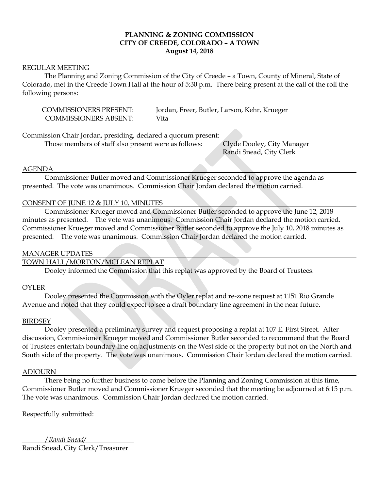## **PLANNING & ZONING COMMISSION CITY OF CREEDE, COLORADO – A TOWN August 14, 2018**

#### REGULAR MEETING

The Planning and Zoning Commission of the City of Creede – a Town, County of Mineral, State of Colorado, met in the Creede Town Hall at the hour of 5:30 p.m. There being present at the call of the roll the following persons:

COMMISSIONERS ABSENT: Vita

COMMISSIONERS PRESENT: Jordan, Freer, Butler, Larson, Kehr, Krueger

Commission Chair Jordan, presiding, declared a quorum present:

Those members of staff also present were as follows: Clyde Dooley, City Manager

Randi Snead, City Clerk

#### AGENDA

Commissioner Butler moved and Commissioner Krueger seconded to approve the agenda as presented. The vote was unanimous. Commission Chair Jordan declared the motion carried.

### CONSENT OF JUNE 12 & JULY 10, MINUTES

Commissioner Krueger moved and Commissioner Butler seconded to approve the June 12, 2018 minutes as presented. The vote was unanimous. Commission Chair Jordan declared the motion carried. Commissioner Krueger moved and Commissioner Butler seconded to approve the July 10, 2018 minutes as presented. The vote was unanimous. Commission Chair Jordan declared the motion carried.

#### MANAGER UPDATES

# TOWN HALL/MORTON/MCLEAN REPLAT

Dooley informed the Commission that this replat was approved by the Board of Trustees.

#### OYLER

Dooley presented the Commission with the Oyler replat and re-zone request at 1151 Rio Grande Avenue and noted that they could expect to see a draft boundary line agreement in the near future.

#### **BIRDSEY**

Dooley presented a preliminary survey and request proposing a replat at 107 E. First Street. After discussion, Commissioner Krueger moved and Commissioner Butler seconded to recommend that the Board of Trustees entertain boundary line on adjustments on the West side of the property but not on the North and South side of the property. The vote was unanimous. Commission Chair Jordan declared the motion carried.

#### ADJOURN

There being no further business to come before the Planning and Zoning Commission at this time, Commissioner Butler moved and Commissioner Krueger seconded that the meeting be adjourned at 6:15 p.m. The vote was unanimous. Commission Chair Jordan declared the motion carried.

Respectfully submitted:

 /*Randi Snead/* Randi Snead, City Clerk/Treasurer